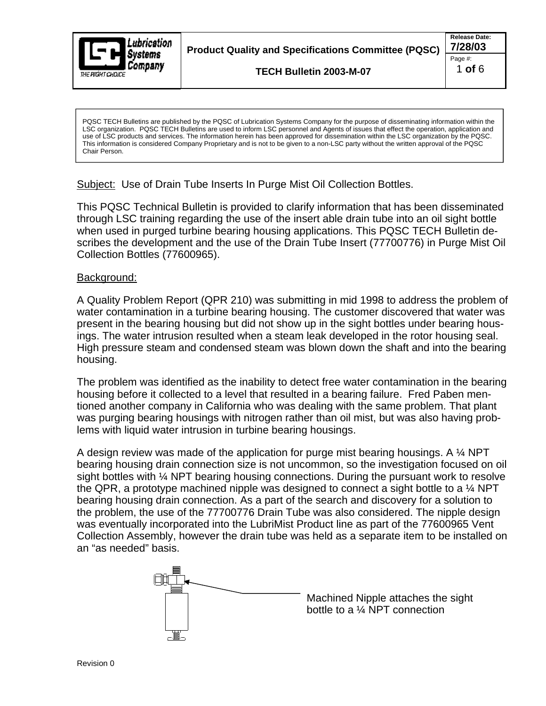

**Product Quality and Specifications Committee (PQSC) 7/28/03**

**TECH Bulletin 2003-M-07**

LSC organization. PQSC TECH Bulletins are used to inform LSC personnel and Agents of issues that effect the operation, application and use of LSC products and services. The information herein has been approved for dissemination within the LSC organization by the PQSC. This information is considered Company Proprietary and is not to be given to a non-LSC party without the written approval of the PQSC Chair Person.

Subject: Use of Drain Tube Inserts In Purge Mist Oil Collection Bottles.

This PQSC Technical Bulletin is provided to clarify information that has been disseminated through LSC training regarding the use of the insert able drain tube into an oil sight bottle when used in purged turbine bearing housing applications. This PQSC TECH Bulletin de scribes the development and the use of the Drain Tube Insert (77700776) in Purge Mist Oil Collection Bottles (77600965).

## **Background:** with a state of the state of the state of the state of the state of the state of the state of the state of the state of the state of the state of the state of the state of the state of the state of the state

A Quality Problem Report (QPR 210) was submitting in mid 1998 to address the problem of water contamination in a turbine bearing housing. The customer discovered that water was present in the bearing housing but did not show up in the sight bottles under bearing housings. The water intrusion resulted when a steam leak developed in the rotor housing seal. High pressure steam and condensed steam was blown down the shaft and into the bearing housing.

The problem was identified as the inability to detect free water contamination in the bearing housing before it collected to a level that resulted in a bearing failure. Fred Paben mentioned another company in California who was dealing with the same problem. That plant was purging bearing housings with nitrogen rather than oil mist, but was also having problems with liquid water intrusion in turbine bearing housings.

A design review was made of the application for purge mist bearing housings. A ¼ NPT bearing housing drain connection size is not uncommon, so the investigation focused on oil sight bottles with ¼ NPT bearing housing connections. During the pursuant work to resolve the QPR, a prototype machined nipple was designed to connect a sight bottle to a ¼ NPT bearing housing drain connection. As a part of the search and discovery for a solution to the problem, the use of the 77700776 Drain Tube was also considered. The nipple design was eventually incorporated into the LubriMist Product line as part of the 77600965 Vent Collection Assembly, however the drain tube was held as a separate item to be installed on Possimisming means the the published as the most of the purpose of the purpose of the purpose of the purpose of the purpose of the published by the purpose of the published by the purpose of the purpose of the purpose of t



Machined Nipple attaches the sight bottle to a ¼ NPT connection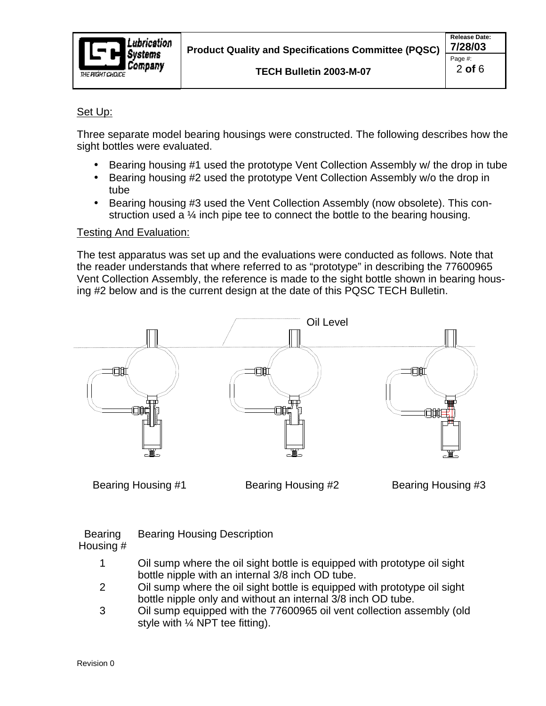

## Set Up:

Three separate model bearing housings were constructed. The following describes how the sight bottles were evaluated.

- Bearing housing #1 used the prototype Vent Collection Assembly w/ the drop in tube
- Bearing housing #2 used the prototype Vent Collection Assembly w/o the drop in tube when the contract of the contract of the contract of the contract of the contract of the contract of the contract of the contract of the contract of the contract of the contract of the contract of the contract of the
- Bearing housing #3 used the Vent Collection Assembly (now obsolete). This con struction used a ¼ inch pipe tee to connect the bottle to the bearing housing.

## Testing And Evaluation:

The test apparatus was set up and the evaluations were conducted as follows. Note that the reader understands that where referred to as "prototype" in describing the 77600965 Vent Collection Assembly, the reference is made to the sight bottle shown in bearing housing #2 below and is the current design at the date of this PQSC TECH Bulletin.



Bearing Bearing Housing Description **Example 2018** Search 2018 and 2018 Search 2018

Housing #

- 1 Oil sump where the oil sight bottle is equipped with prototype oil sight bottle nipple with an internal 3/8 inch OD tube.
- 2 Oil sump where the oil sight bottle is equipped with prototype oil sight bottle nipple only and without an internal 3/8 inch OD tube.
- 3 Oil sump equipped with the 77600965 oil vent collection assembly (old Bearing Housing #1 Bearing Housing #2 Bearing Housing #3<br>
bearing Bearing Housing Description<br>
1 Oil sump where the oil sight bottle is equipped with prototype oil sight<br>
2 Oil sump where the oil sight bottle is equipped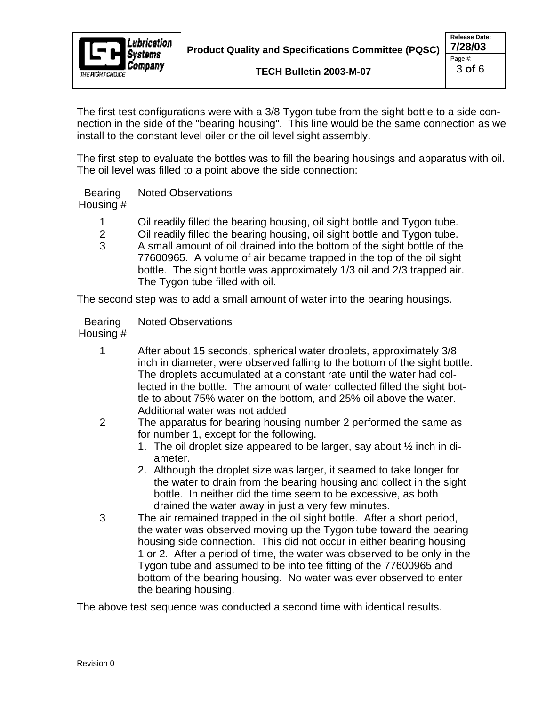The first test configurations were with a 3/8 Tygon tube from the sight bottle to a side connection as we nection in the side of the "bearing housing". This line would be the same connection as we install to the constant level oiler or the oil level sight assembly.

The first step to evaluate the bottles was to fill the bearing housings and apparatus with oil. The oil level was filled to a point above the side connection:

Bearing Noted Observations and the contract of the contract of the contract of the contract of the contract of the contract of the contract of the contract of the contract of the contract of the contract of the contract of Housing # Noted Observations and the set of the set of the set of the set of the set of the set of the set of the set of the set of the set of the set of the set of the set of the set of the set of the set of the set of the set of t

- 1 Oil readily filled the bearing housing, oil sight bottle and Tygon tube.
- 2 Oil readily filled the bearing housing, oil sight bottle and Tygon tube.
- 3 A small amount of oil drained into the bottom of the sight bottle of the 77600965. A volume of air became trapped in the top of the oil sight bottle. The sight bottle was approximately 1/3 oil and 2/3 trapped air. The Tygon tube filled with oil.

The second step was to add a small amount of water into the bearing housings.

#### Bearing Noted Observations and the contract of the contract of the contract of the contract of the contract of the contract of the contract of the contract of the contract of the contract of the contract of the contract of Housing # Noted Observations and the set of the set of the set of the set of the set of the set of the set of the set of the set of the set of the set of the set of the set of the set of the set of the set of the set of the set of t

- 1 After about 15 seconds, spherical water droplets, approximately 3/8 inch in diameter, were observed falling to the bottom of the sight bottle. The droplets accumulated at a constant rate until the water had collected in the bottle. The amount of water collected filled the sight bottle to about 75% water on the bottom, and 25% oil above the water. Additional water was not added
- 2 The apparatus for bearing housing number 2 performed the same as for number 1, except for the following.
	- 1. The oil droplet size appeared to be larger, say about ½ inch in di ameter. The contract of the contract of the contract of the contract of the contract of the contract of the contract of the contract of the contract of the contract of the contract of the contract of the contract of the co
	- 2. Although the droplet size was larger, it seamed to take longer for the water to drain from the bearing housing and collect in the sight bottle. In neither did the time seem to be excessive, as both drained the water away in just a very few minutes.
- 3 The air remained trapped in the oil sight bottle. After a short period, the water was observed moving up the Tygon tube toward the bearing housing side connection. This did not occur in either bearing housing 1 or 2. After a period of time, the water was observed to be only in the Tygon tube and assumed to be into tee fitting of the 77600965 and bottom of the bearing housing. No water was ever observed to enter the bearing housing.

The above test sequence was conducted a second time with identical results.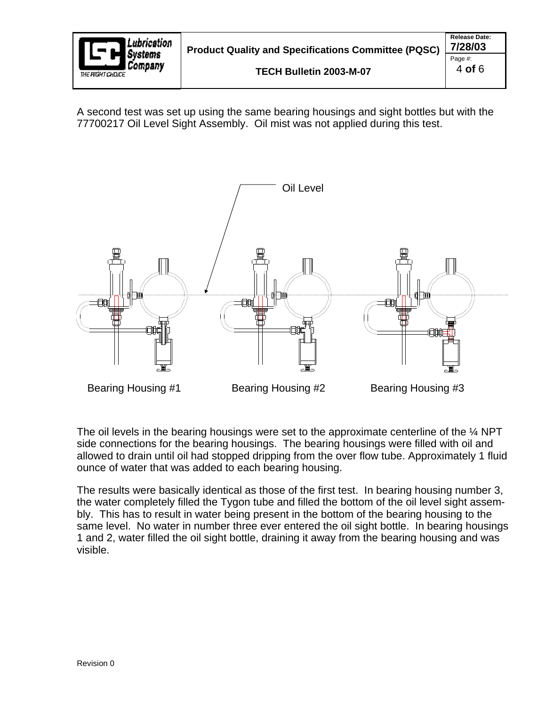

A second test was set up using the same bearing housings and sight bottles but with the 77700217 Oil Level Sight Assembly. Oil mist was not applied during this test.



The oil levels in the bearing housings were set to the approximate centerline of the  $\frac{1}{4}$  NPT side connections for the bearing housings. The bearing housings were filled with oil and allowed to drain until oil had stopped dripping from the over flow tube. Approximately 1 fluid ounce of water that was added to each bearing housing.

The results were basically identical as those of the first test. In bearing housing number 3, the water completely filled the Tygon tube and filled the bottom of the oil level sight assem bly. This has to result in water being present in the bottom of the bearing housing to the same level. No water in number three ever entered the oil sight bottle. In bearing housings 1 and 2, water filled the oil sight bottle, draining it away from the bearing housing and was Bearing Housing #1 Bearing Housing #2 Bearing Housing #3<br>
The oil levels in the bearing housings were set to the approximate centerline of the 1/4 NPT<br>
side connections for the bearing housings. The bearing housings were f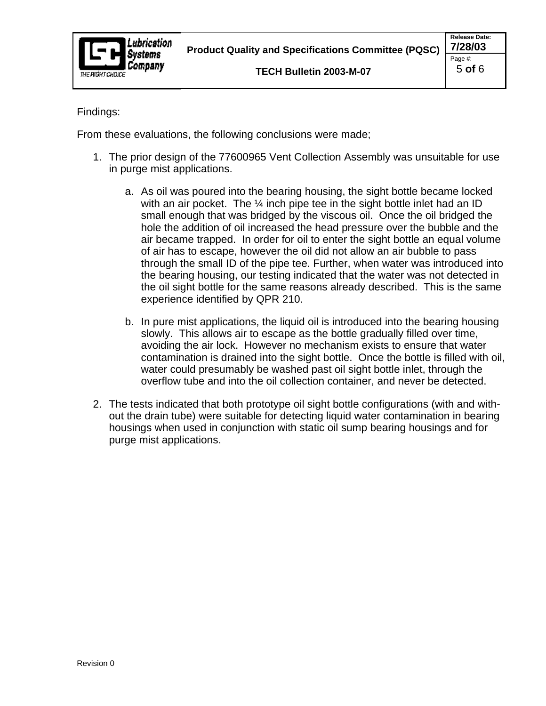

## **Findings:** The contract of the contract of the contract of the contract of the contract of the contract of the contract of the contract of the contract of the contract of the contract of the contract of the contract of th

From these evaluations, the following conclusions were made;

- 1. The prior design of the 77600965 Vent Collection Assembly was unsuitable for use in purge mist applications.
	- a. As oil was poured into the bearing housing, the sight bottle became locked with an air pocket. The  $\frac{1}{4}$  inch pipe tee in the sight bottle inlet had an ID small enough that was bridged by the viscous oil. Once the oil bridged the hole the addition of oil increased the head pressure over the bubble and the air became trapped. In order for oil to enter the sight bottle an equal volume of air has to escape, however the oil did not allow an air bubble to pass through the small ID of the pipe tee. Further, when water was introduced into the bearing housing, our testing indicated that the water was not detected in the oil sight bottle for the same reasons already described. This is the same experience identified by QPR 210.
	- b. In pure mist applications, the liquid oil is introduced into the bearing housing slowly. This allows air to escape as the bottle gradually filled over time, avoiding the air lock. However no mechanism exists to ensure that water contamination is drained into the sight bottle. Once the bottle is filled with oil, water could presumably be washed past oil sight bottle inlet, through the overflow tube and into the oil collection container, and never be detected.
- 2. The tests indicated that both prototype oil sight bottle configurations (with and with out the drain tube) were suitable for detecting liquid water contamination in bearing housings when used in conjunction with static oil sump bearing housings and for purge mist applications.